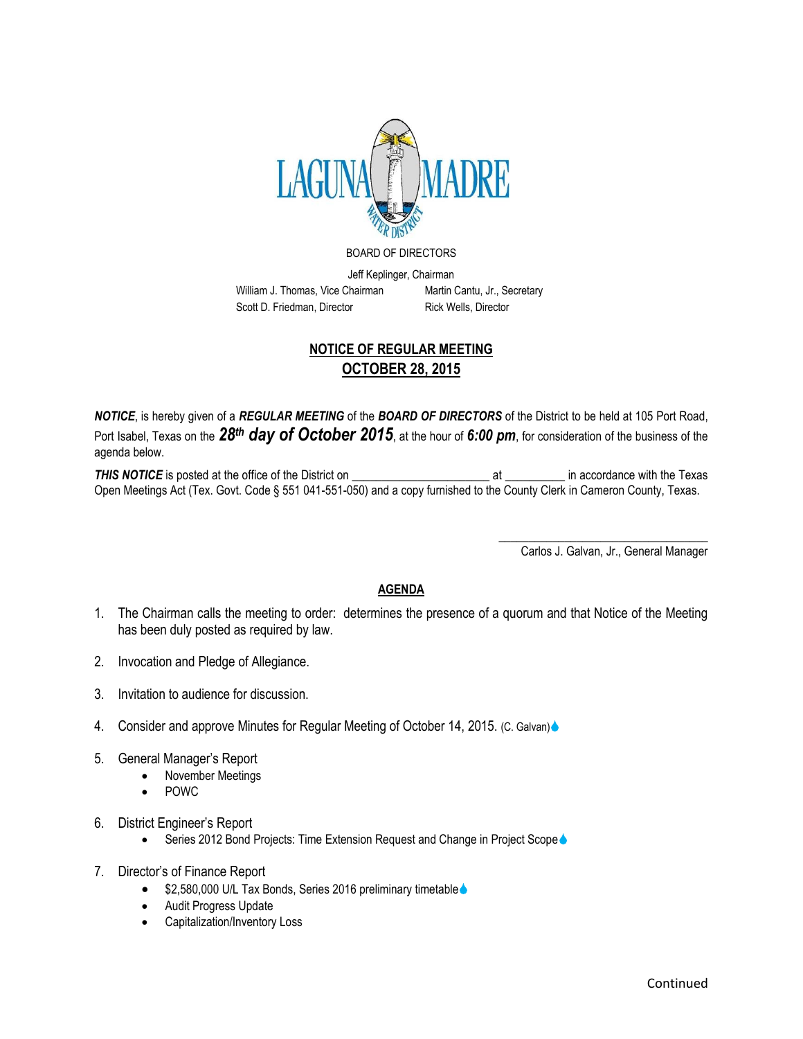

## BOARD OF DIRECTORS

Jeff Keplinger, Chairman William J. Thomas, Vice Chairman Martin Cantu, Jr., Secretary

Scott D. Friedman, Director Rick Wells, Director

## **NOTICE OF REGULAR MEETING OCTOBER 28, 2015**

*NOTICE*, is hereby given of a *REGULAR MEETING* of the *BOARD OF DIRECTORS* of the District to be held at 105 Port Road, Port Isabel, Texas on the *28th day of October 2015*, at the hour of *6:00 pm*, for consideration of the business of the agenda below.

*THIS NOTICE* is posted at the office of the District on \_\_\_\_\_\_\_\_\_\_\_\_\_\_\_\_\_\_\_\_\_\_\_ at \_\_\_\_\_\_\_\_\_\_ in accordance with the Texas Open Meetings Act (Tex. Govt. Code § 551 041-551-050) and a copy furnished to the County Clerk in Cameron County, Texas.

Carlos J. Galvan, Jr., General Manager

\_\_\_\_\_\_\_\_\_\_\_\_\_\_\_\_\_\_\_\_\_\_\_\_\_\_\_\_\_\_\_\_\_\_\_

## **AGENDA**

- 1. The Chairman calls the meeting to order: determines the presence of a quorum and that Notice of the Meeting has been duly posted as required by law.
- 2. Invocation and Pledge of Allegiance.
- 3. Invitation to audience for discussion.
- 4. Consider and approve Minutes for Regular Meeting of October 14, 2015. (C. Galvan)
- 5. General Manager's Report
	- November Meetings
	- POWC
- 6. District Engineer's Report
	- Series 2012 Bond Projects: Time Extension Request and Change in Project Scope
- 7. Director's of Finance Report
	- \$2,580,000 U/L Tax Bonds, Series 2016 preliminary timetable .
	- Audit Progress Update
	- Capitalization/Inventory Loss